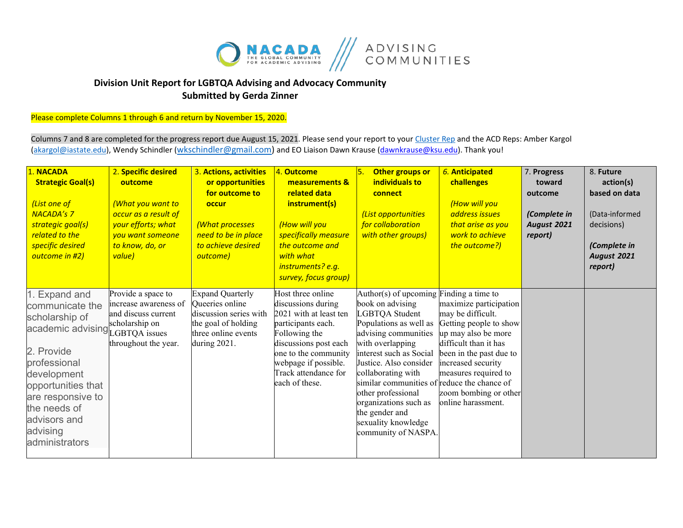

## **Division Unit Report for LGBTQA Advising and Advocacy Community Submitted by Gerda Zinner**

Please complete Columns 1 through 6 and return by November 15, 2020.

Columns 7 and 8 are completed for the progress report due August 15, 2021. Please send your report to you[r Cluster Rep](https://nacada.ksu.edu/Portals/0/CandIGDivision/documents/2020ClusterReps.pdf?ver=2020-03-10-170345-173) and the ACD Reps: Amber Kargol [\(akargol@iastate.edu\)](mailto:akargol@iastate.edu), Wendy Schindler [\(wkschindler@gmail.com\)](mailto:wkschindler@gmail.com) and EO Liaison Dawn Krause (dawnkrause@ksu.edu). Thank you!

| <b>NACADA</b><br><b>Strategic Goal(s)</b><br>(List one of<br><b>NACADA's 7</b><br>strategic goal(s)<br>related to the<br>specific desired<br>outcome in #2)                                                                                | 2. Specific desired<br>outcome<br>(What you want to<br>occur as a result of<br>your efforts; what<br>you want someone<br>to know, do, or<br>value) | 3. Actions, activities<br>or opportunities<br>for outcome to<br>occur<br>(What processes<br>need to be in place<br>to achieve desired<br>outcome) | 4. Outcome<br>measurements &<br>related data<br>instrument(s)<br>(How will you<br>specifically measure<br>the outcome and<br>with what<br>instruments? e.g.<br>survey, focus group)                                         | 5.<br>Other groups or<br>individuals to<br>connect<br>List opportunities<br>for collaboration<br>with other groups)                                                                                                                                                                                                                                                                          | 6. Anticipated<br>challenges<br>(How will you<br>address issues<br>that arise as you<br>work to achieve<br>the outcome?)                                                                                                                      | 7. Progress<br>toward<br>outcome<br>(Complete in<br>August 2021<br>report) | 8. Future<br>action(s)<br>based on data<br>(Data-informed<br>decisions)<br>(Complete in<br>August 2021<br>report) |
|--------------------------------------------------------------------------------------------------------------------------------------------------------------------------------------------------------------------------------------------|----------------------------------------------------------------------------------------------------------------------------------------------------|---------------------------------------------------------------------------------------------------------------------------------------------------|-----------------------------------------------------------------------------------------------------------------------------------------------------------------------------------------------------------------------------|----------------------------------------------------------------------------------------------------------------------------------------------------------------------------------------------------------------------------------------------------------------------------------------------------------------------------------------------------------------------------------------------|-----------------------------------------------------------------------------------------------------------------------------------------------------------------------------------------------------------------------------------------------|----------------------------------------------------------------------------|-------------------------------------------------------------------------------------------------------------------|
| . Expand and<br>communicate the<br>scholarship of<br>academic advising LGBTQA issues<br>2. Provide<br>professional<br>development<br>opportunities that<br>are responsive to<br>the needs of<br>advisors and<br>advising<br>administrators | Provide a space to<br>increase awareness of<br>and discuss current<br>scholarship on<br>throughout the year.                                       | <b>Expand Quarterly</b><br>Queeries online<br>discussion series with<br>the goal of holding<br>three online events<br>during 2021.                | Host three online<br>discussions during<br>2021 with at least ten<br>participants each.<br>Following the<br>discussions post each<br>one to the community<br>webpage if possible.<br>Track attendance for<br>each of these. | Author(s) of upcoming Finding a time to<br>book on advising<br>LGBTQA Student<br>Populations as well as<br>advising communities<br>with overlapping<br>interest such as Social<br>Justice. Also consider<br>collaborating with<br>similar communities of reduce the chance of<br>other professional<br>organizations such as<br>the gender and<br>sexuality knowledge<br>community of NASPA. | maximize participation<br>may be difficult.<br>Getting people to show<br>up may also be more<br>difficult than it has<br>been in the past due to<br>increased security<br>measures required to<br>zoom bombing or other<br>online harassment. |                                                                            |                                                                                                                   |